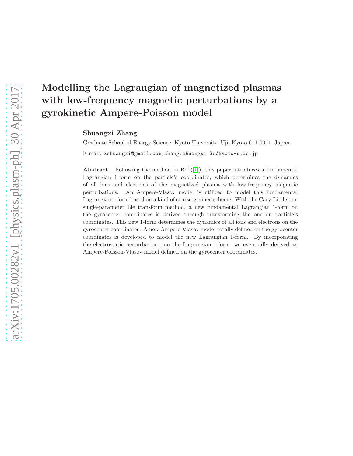# Modelling the Lagrangian of magnetized plasmas with low-frequency magnetic perturbations by a gyrokinetic Ampere-Poisson model

Shuangxi Zhang

Graduate School of Energy Science, Kyoto University, Uji, Kyoto 611-0011, Japan. E-mail: zshuangxi@gmail.com;zhang.shuangxi.3s@kyoto-u.ac.jp

**Abstract.** Following the method in Ref. $([1])$  $([1])$  $([1])$ , this paper introduces a fundamental Lagrangian 1-form on the particle's coordinates, which determines the dynamics of all ions and electrons of the magnetized plasma with low-frequency magnetic perturbations. An Ampere-Vlasov model is utilized to model this fundamental Lagrangian 1-form based on a kind of coarse-grained scheme. With the Cary-Littlejohn single-parameter Lie transform method, a new fundamental Lagrangian 1-form on the gyrocenter coordinates is derived through transforming the one on particle's coordinates. This new 1-form determines the dynamics of all ions and electrons on the gyrocenter coordinates. A new Ampere-Vlasov model totally defined on the gyrocenter coordinates is developed to model the new Lagrangian 1-form. By incorporating the electrostatic perturbation into the Lagrangian 1-form, we eventually derived an Ampere-Poisson-Vlasov model defined on the gyrocenter coordinates.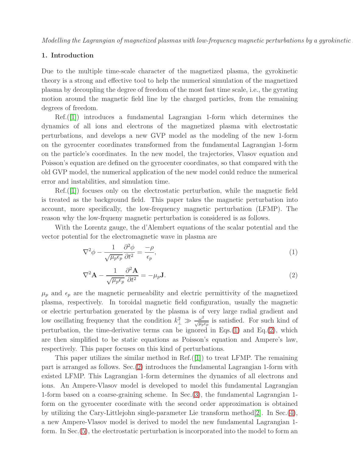#### 1. Introduction

Due to the multiple time-scale character of the magnetized plasma, the gyrokinetic theory is a strong and effective tool to help the numerical simulation of the magnetized plasma by decoupling the degree of freedom of the most fast time scale, i.e., the gyrating motion around the magnetic field line by the charged particles, from the remaining degrees of freedom.

Ref.([\[1\]](#page-12-0)) introduces a fundamental Lagrangian 1-form which determines the dynamics of all ions and electrons of the magnetized plasma with electrostatic perturbations, and develops a new GVP model as the modeling of the new 1-form on the gyrocenter coordinates transformed from the fundamental Lagrangian 1-form on the particle's coordinates. In the new model, the trajectories, Vlasov equation and Poisson's equation are defined on the gyrocenter coordinates, so that compared with the old GVP model, the numerical application of the new model could reduce the numerical error and instabilities, and simulation time.

Ref.([\[1\]](#page-12-0)) focuses only on the electrostatic perturbation, while the magnetic field is treated as the background field. This paper takes the magnetic perturbation into account, more specifically, the low-frequency magnetic perturbation (LFMP). The reason why the low-frqueny magnetic perturbation is considered is as follows.

With the Lorentz gauge, the d'Alembert equations of the scalar potential and the vector potential for the electromagnetic wave in plasma are

<span id="page-1-0"></span>
$$
\nabla^2 \phi - \frac{1}{\sqrt{\mu_p \epsilon_p}} \frac{\partial^2 \phi}{\partial t^2} = \frac{-\rho}{\epsilon_p},\tag{1}
$$

<span id="page-1-1"></span>
$$
\nabla^2 \mathbf{A} - \frac{1}{\sqrt{\mu_p \epsilon_p}} \frac{\partial^2 \mathbf{A}}{\partial t^2} = -\mu_p \mathbf{J}.
$$
 (2)

 $\mu_p$  and  $\epsilon_p$  are the magnetic permeability and electric permittivity of the magnetized plasma, respectively. In toroidal magnetic field configuration, usually the magnetic or electric perturbation generated by the plasma is of very large radial gradient and low oscillating frequency that the condition  $k_{\perp}^2 \gg \frac{\omega^2}{\sqrt{\mu_p}}$  $\frac{\omega^2}{\sqrt{\mu_p\epsilon_p}}$  is satisfied. For such kind of perturbation, the time-derivative terms can be ignored in Eqs. $(1)$  and Eq. $(2)$ , which are then simplified to be static equations as Poisson's equation and Ampere's law, respectively. This paper focuses on this kind of perturbations.

This paper utilizes the similar method in Ref.([\[1\]](#page-12-0)) to treat LFMP. The remaining part is arranged as follows. Sec.[\(2\)](#page-2-0) introduces the fundamental Lagrangian 1-form with existed LFMP. This Lagrangian 1-form determines the dynamics of all electrons and ions. An Ampere-Vlasov model is developed to model this fundamental Lagrangian 1-form based on a coarse-graining scheme. In Sec.[\(3\)](#page-3-0), the fundamental Lagrangian 1 form on the gyrocenter coordinate with the second order approximation is obtained by utilizing the Cary-Littlejohn single-parameter Lie transform method[\[2\]](#page-12-1). In Sec.[\(4\)](#page-4-0), a new Ampere-Vlasov model is derived to model the new fundamental Lagrangian 1 form. In Sec.[\(5\)](#page-6-0), the electrostatic perturbation is incorporated into the model to form an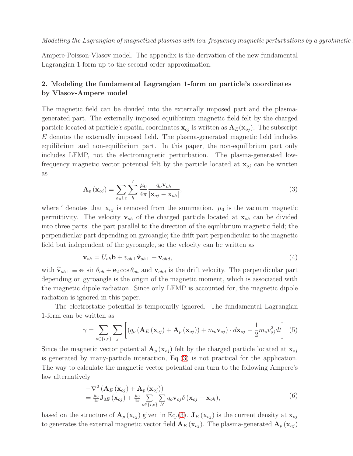Ampere-Poisson-Vlasov model. The appendix is the derivation of the new fundamental Lagrangian 1-form up to the second order approximation.

# <span id="page-2-0"></span>2. Modeling the fundamental Lagrangian 1-form on particle's coordinates by Vlasov-Ampere model

The magnetic field can be divided into the externally imposed part and the plasmagenerated part. The externally imposed equilibrium magnetic field felt by the charged particle located at particle's spatial coordinates  $\mathbf{x}_{oj}$  is written as  $\mathbf{A}_E(\mathbf{x}_{oj})$ . The subscript E denotes the externally imposed field. The plasma-generated magnetic field includes equilibrium and non-equilibrium part. In this paper, the non-equilibrium part only includes LFMP, not the electromagnetic perturbation. The plasma-generated lowfrequency magnetic vector potential felt by the particle located at  $\mathbf{x}_{oj}$  can be written as

<span id="page-2-1"></span>
$$
\mathbf{A}_{p}\left(\mathbf{x}_{oj}\right) = \sum_{o \in i,e} \sum_{h}^{'} \frac{\mu_0}{4\pi} \frac{q_o \mathbf{v}_{oh}}{\left|\mathbf{x}_{oj} - \mathbf{x}_{oh}\right|},\tag{3}
$$

where ' denotes that  $\mathbf{x}_{oj}$  is removed from the summation.  $\mu_0$  is the vacuum magnetic permittivity. The velocity  $\mathbf{v}_{oh}$  of the charged particle located at  $\mathbf{x}_{oh}$  can be divided into three parts: the part parallel to the direction of the equilibrium magnetic field; the perpendicular part depending on gyroangle; the drift part perpendicular to the magnetic field but independent of the gyroangle, so the velocity can be written as

<span id="page-2-3"></span>
$$
\mathbf{v}_{oh} = U_{oh} \mathbf{b} + v_{oh\perp} \hat{\mathbf{v}}_{oh\perp} + \mathbf{v}_{ohd},\tag{4}
$$

with  $\hat{\mathbf{v}}_{oh\perp} \equiv \mathbf{e}_1 \sin \theta_{oh} + \mathbf{e}_2 \cos \theta_{oh}$  and  $\mathbf{v}_{ohd}$  is the drift velocity. The perpendicular part depending on gyroangle is the origin of the magnetic moment, which is associated with the magnetic dipole radiation. Since only LFMP is accounted for, the magnetic dipole radiation is ignored in this paper.

The electrostatic potential is temporarily ignored. The fundamental Lagrangian 1-form can be written as

<span id="page-2-2"></span>
$$
\gamma = \sum_{o \in \{i,e\}} \sum_{j} \left[ \left( q_o \left( \mathbf{A}_E \left( \mathbf{x}_{oj} \right) + \mathbf{A}_p \left( \mathbf{x}_{oj} \right) \right) + m_o \mathbf{v}_{oj} \right) \cdot d\mathbf{x}_{oj} - \frac{1}{2} m_o v_{oj}^2 dt \right] \tag{5}
$$

Since the magnetic vector potential  $\mathbf{A}_p(\mathbf{x}_{oj})$  felt by the charged particle located at  $\mathbf{x}_{oj}$ is generated by many-particle interaction, Eq.[\(3\)](#page-2-1) is not practical for the application. The way to calculate the magnetic vector potential can turn to the following Ampere's law alternatively

$$
-\nabla^2 \left( \mathbf{A}_E \left( \mathbf{x}_{oj} \right) + \mathbf{A}_p \left( \mathbf{x}_{oj} \right) \right) = \frac{\mu_0}{4\pi} \mathbf{J}_{0E} \left( \mathbf{x}_{oj} \right) + \frac{\mu_0}{4\pi} \sum_{o \in \{i, e\}} \sum_{h'} q_o \mathbf{v}_{oj} \delta \left( \mathbf{x}_{oj} - \mathbf{x}_{oh} \right),
$$
(6)

based on the structure of  $\mathbf{A}_p(\mathbf{x}_{oj})$  given in Eq.[\(3\)](#page-2-1).  $\mathbf{J}_E(\mathbf{x}_{oj})$  is the current density at  $\mathbf{x}_{oj}$ to generates the external magnetic vector field  $A_E(x_{oj})$ . The plasma-generated  $A_p(x_{oj})$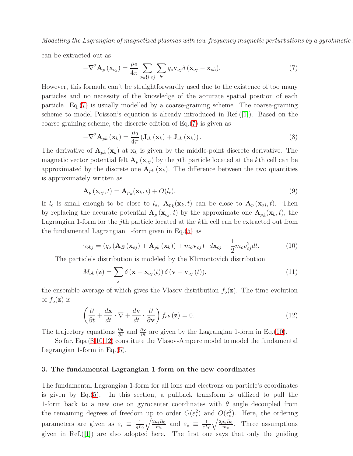can be extracted out as

<span id="page-3-1"></span>
$$
-\nabla^2 \mathbf{A}_p(\mathbf{x}_{oj}) = \frac{\mu_0}{4\pi} \sum_{o \in \{i,e\}} \sum_{h'} q_o \mathbf{v}_{oj} \delta(\mathbf{x}_{oj} - \mathbf{x}_{oh}).
$$
 (7)

However, this formula can't be straightforwardly used due to the existence of too many particles and no necessity of the knowledge of the accurate spatial position of each particle. Eq.[\(7\)](#page-3-1) is usually modelled by a coarse-graining scheme. The coarse-graining scheme to model Poisson's equation is already introduced in Ref.([\[1\]](#page-12-0)). Based on the coarse-graining scheme, the discrete edition of Eq.[\(7\)](#page-3-1) is given as

<span id="page-3-3"></span>
$$
-\nabla^{2} \mathbf{A}_{pk}(\mathbf{x}_{k}) = \frac{\mu_{0}}{4\pi} \left( \mathbf{J}_{ik}(\mathbf{x}_{k}) + \mathbf{J}_{ek}(\mathbf{x}_{k}) \right).
$$
 (8)

The derivative of  $\mathbf{A}_{pk}(\mathbf{x}_k)$  at  $\mathbf{x}_k$  is given by the middle-point discrete derivative. The magnetic vector potential felt  $\mathbf{A}_p(\mathbf{x}_{oj})$  by the jth particle located at the kth cell can be approximated by the discrete one  $A_{pk}(\mathbf{x}_k)$ . The difference between the two quantities is approximately written as

$$
\mathbf{A}_p(\mathbf{x}_{oj},t) = \mathbf{A}_{p_k}(\mathbf{x}_k,t) + O(l_c). \tag{9}
$$

If  $l_c$  is small enough to be close to  $l_d$ ,  $\mathbf{A}_{p_k}(\mathbf{x}_k, t)$  can be close to  $\mathbf{A}_p(\mathbf{x}_{oj}, t)$ . Then by replacing the accurate potential  $\mathbf{A}_p(\mathbf{x}_{oj},t)$  by the approximate one  $\mathbf{A}_{p_k}(\mathbf{x}_k,t)$ , the Lagrangian 1-form for the jth particle located at the kth cell can be extracted out from the fundamental Lagrangian 1-form given in Eq.[\(5\)](#page-2-2) as

<span id="page-3-2"></span>
$$
\gamma_{okj} = (q_o \left(\mathbf{A}_E \left(\mathbf{x}_{oj}\right) + \mathbf{A}_{pk} \left(\mathbf{x}_k\right)\right) + m_o \mathbf{v}_{oj}) \cdot d\mathbf{x}_{oj} - \frac{1}{2} m_o v_{oj}^2 dt. \tag{10}
$$

The particle's distribution is modeled by the Klimontovich distribution

$$
M_{ok}(\mathbf{z}) = \sum_{j} \delta(\mathbf{x} - \mathbf{x}_{oj}(t)) \delta(\mathbf{v} - \mathbf{v}_{oj}(t)),
$$
\n(11)

the ensemble average of which gives the Vlasov distribution  $f_o(\mathbf{z})$ . The time evolution of  $f_o(\mathbf{z})$  is

<span id="page-3-4"></span>
$$
\left(\frac{\partial}{\partial t} + \frac{d\mathbf{x}}{dt} \cdot \nabla + \frac{d\mathbf{v}}{dt} \cdot \frac{\partial}{\partial \mathbf{v}}\right) f_{ok}(\mathbf{z}) = 0.
$$
\n(12)

The trajectory equations  $\frac{\partial \mathbf{x}}{\partial t}$  and  $\frac{\partial \mathbf{v}}{\partial t}$  are given by the Lagrangian 1-form in Eq.[\(10\)](#page-3-2).

So far, Eqs.[\(8](#page-3-3)[,10](#page-3-2)[,12\)](#page-3-4) constitute the Vlasov-Ampere model to model the fundamental Lagrangian 1-form in Eq.[\(5\)](#page-2-2).

#### <span id="page-3-0"></span>3. The fundamental Lagrangian 1-form on the new coordinates

The fundamental Lagrangian 1-form for all ions and electrons on particle's coordinates is given by Eq.[\(5\)](#page-2-2). In this section, a pullback transform is utilized to pull the 1-form back to a new one on gyrocenter coordinates with  $\theta$  angle decoupled from the remaining degrees of freedom up to order  $O(\varepsilon_i^2)$  and  $O(\varepsilon_e^2)$ . Here, the ordering parameters are given as  $\varepsilon_i \equiv \frac{1}{qL}$  $qL_0$  $\sqrt{2\mu_iB_0}$  $\frac{u_i B_0}{m_i}$  and  $\varepsilon_e \equiv \frac{1}{eL}$  $eL_0$  $\sqrt{2\mu_eB_0}$  $\frac{u_e B_0}{m_e}$ . Three assumptions given in Ref. $([1])$  $([1])$  $([1])$  are also adopted here. The first one says that only the guiding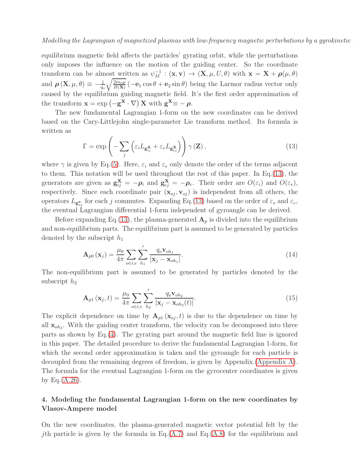equilibrium magnetic field affects the particles' gyrating orbit, while the perturbations only imposes the influence on the motion of the guiding center. So the coordinate transform can be almost written as  $\psi_M^{-1} : (\mathbf{x}, \mathbf{v}) \to (\mathbf{X}, \mu, U, \theta)$  with  $\mathbf{x} = \mathbf{X} + \boldsymbol{\rho}(\mu, \theta)$ and  $\rho\left(\mathbf{X}, \mu, \theta\right) \equiv -\frac{1}{q_o}$  $\sqrt{2m_o\mu}$  $\frac{2m_o\mu}{B(X)}$  ( $-e_1 \cos \theta + e_2 \sin \theta$ ) being the Larmor radius vector only caused by the equilibrium guiding magnetic field. It's the first order approximation of the transform  $\mathbf{x} = \exp(-\mathbf{g}^{\mathbf{X}} \cdot \nabla) \mathbf{X}$  with  $\mathbf{g}^{\mathbf{X}} \equiv -\rho$ .

The new fundamental Lagrangian 1-form on the new coordinates can be derived based on the Cary-Littlejohn single-parameter Lie transform method. Its formula is written as

<span id="page-4-1"></span>
$$
\Gamma = \exp\left(-\sum_{j} \left(\varepsilon_{i} L_{\mathbf{g}_{ij}^{X}} + \varepsilon_{e} L_{\mathbf{g}_{ej}^{X}}\right)\right) \gamma\left(\mathbf{Z}\right),\tag{13}
$$

where  $\gamma$  is given by Eq.[\(5\)](#page-2-2). Here,  $\varepsilon_i$  and  $\varepsilon_e$  only denote the order of the terms adjacent to them. This notation will be used throughout the rest of this paper. In Eq.[\(13\)](#page-4-1), the generators are given as  $\mathbf{g}_{ij}^{\mathbf{X}} = -\boldsymbol{\rho}_i$  and  $\mathbf{g}_{ej}^{\mathbf{X}} = -\boldsymbol{\rho}_e$ . Their order are  $O(\varepsilon_i)$  and  $O(\varepsilon_e)$ , respectively. Since each coordinate pair  $(\mathbf{x}_{oj}, \mathbf{v}_{oj})$  is independent from all others, the operators  $L_{g_{oj}^{\mathbf{x}}}$  for each j commutes. Expanding Eq.[\(13\)](#page-4-1) based on the order of  $\varepsilon_o$  and  $\varepsilon_e$ , the eventual Lagrangian differential 1-form independent of gyroangle can be derived.

Before expanding Eq.[\(13\)](#page-4-1), the plasma-generated  $\mathbf{A}_p$  is divided into the equilibrium and non-equilibrium parts. The equilibrium part is assumed to be generated by particles denoted by the subscript  $h_1$ 

$$
\mathbf{A}_{p0}\left(\mathbf{x}_{j}\right) = \frac{\mu_{0}}{4\pi} \sum_{o \in i,e} \sum_{h_{1}}' \frac{q_{o} \mathbf{v}_{oh_{1}}}{|\mathbf{x}_{j} - \mathbf{x}_{oh_{1}}|}.
$$
\n(14)

The non-equilibrium part is assumed to be generated by particles denoted by the subscript  $h_2$ 

$$
\mathbf{A}_{p1}\left(\mathbf{x}_j,t\right) = \frac{\mu_0}{4\pi} \sum_{o \in i,e} \sum_{h_2}^{\prime} \frac{q_o \mathbf{v}_{oh_2}}{\left|\mathbf{x}_j - \mathbf{x}_{oh_2}(t)\right|}.
$$
\n(15)

The explicit dependence on time by  $A_{p1}(\mathbf{x}_{oj},t)$  is due to the dependence on time by all  $\mathbf{x}_{oh_2}$ . With the guiding center transform, the velocity can be decomposed into three parts as shown by Eq.[\(4\)](#page-2-3). The gyrating part around the magnetic field line is ignored in this paper. The detailed procedure to derive the fundamental Lagrangian 1-form, for which the second order approximation is taken and the gyroangle for each particle is decoupled from the remaining degrees of freedom, is given by Appendix.[\(Appendix A\)](#page-7-0). The formula for the eventual Lagrangian 1-form on the gyrocenter coordinates is given by Eq. $(A.26)$ .

# <span id="page-4-0"></span>4. Modeling the fundamental Lagrangian 1-form on the new coordinates by Vlasov-Ampere model

On the new coordinates, the plasma-generated magnetic vector potential felt by the *j*th particle is given by the formula in Eq.[\(A.7\)](#page-8-0) and Eq.[\(A.8\)](#page-8-1) for the equilibrium and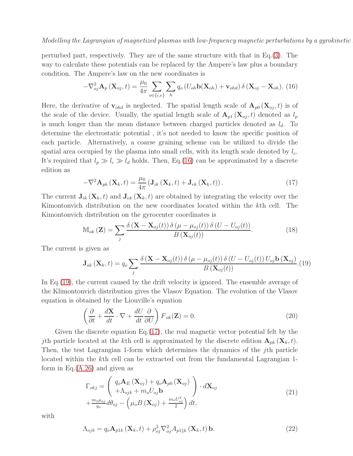perturbed part, respectively. They are of the same structure with that in Eq.[\(3\)](#page-2-1). The way to calculate these potentials can be replaced by the Ampere's law plus a boundary condition. The Ampere's law on the new coordinates is

<span id="page-5-0"></span>
$$
-\nabla_{oj}^2 \mathbf{A}_p(\mathbf{X}_{oj},t) = \frac{\mu_0}{4\pi} \sum_{o \in \{i,e\}} \sum_h q_o (U_{oh} \mathbf{b}(\mathbf{X}_{oh}) + \mathbf{v}_{ohd}) \delta(\mathbf{X}_{oj} - \mathbf{X}_{oh}).
$$
 (16)

Here, the derivative of  $\mathbf{v}_{\text{ohd}}$  is neglected. The spatial length scale of  $\mathbf{A}_{p0}(\mathbf{X}_{oj},t)$  is of the scale of the device. Usually, the spatial length scale of  $A_{p1}$  ( $X_{oj}, t$ ) denoted as  $l_p$ is much longer than the mean distance between charged particles denoted as  $l_d$ . To determine the electrostatic potential , it's not needed to know the specific position of each particle. Alternatively, a coarse graining scheme can be utilized to divide the spatial area occupied by the plasma into small cells, with its length scale denoted by  $l_c$ . It's required that  $l_p \gg l_c \gg l_d$  holds. Then, Eq.[\(16\)](#page-5-0) can be approximated by a discrete edition as

<span id="page-5-2"></span>
$$
-\nabla^2 \mathbf{A}_{pk}(\mathbf{X}_k, t) = \frac{\mu_0}{4\pi} \left( \mathbf{J}_{ik} \left( \mathbf{X}_k, t \right) + \mathbf{J}_{ek} \left( \mathbf{X}_k, t \right) \right).
$$
 (17)

The current  $J_{ik}$  ( $X_k, t$ ) and  $J_{ek}$  ( $X_k, t$ ) are obtained by integrating the velocity over the Kimontonvich distribution on the new coordinates located within the kth cell. The Kimontonvich distribution on the gyrocenter coordinates is

$$
\mathbb{M}_{ok}(\mathbf{Z}) = \sum_{j} \frac{\delta\left(\mathbf{X} - \mathbf{X}_{oj}(t)\right)\delta\left(\mu - \mu_{oj}(t)\right)\delta\left(U - U_{oj}(t)\right)}{B\left(\mathbf{X}_{oj}(t)\right)}.\tag{18}
$$

The current is given as

<span id="page-5-1"></span>
$$
\mathbf{J}_{ok}(\mathbf{X}_k, t) = q_o \sum_j \frac{\delta(\mathbf{X} - \mathbf{X}_{oj}(t)) \delta(\mu - \mu_{oj}(t)) \delta(U - U_{oj}(t)) U_{oj} \mathbf{b}(\mathbf{X}_{oj})}{B(\mathbf{X}_{oj}(t))}.
$$
(19)

In Eq.[\(19\)](#page-5-1), the current caused by the drift velocity is ignored. The ensemble average of the Klimontonvich distribution gives the Vlasov Equation. The evolution of the Vlasov equation is obtained by the Liouville's equation

<span id="page-5-3"></span>
$$
\left(\frac{\partial}{\partial t} + \frac{d\mathbf{X}}{dt} \cdot \nabla + \frac{dU}{dt} \frac{\partial}{\partial U}\right) F_{ok}(\mathbf{Z}) = 0.
$$
\n(20)

Given the discrete equation Eq.[\(17\)](#page-5-2), the real magnetic vector potential felt by the jth particle located at the kth cell is approximated by the discrete edition  $\mathbf{A}_{pk}(\mathbf{X}_k,t)$ . Then, the test Lagrangian 1-form which determines the dynamics of the jth particle located within the kth cell can be extracted out from the fundamental Lagrangian 1 form in Eq. $(A.26)$  and given as

<span id="page-5-4"></span>
$$
\Gamma_{okj} = \begin{pmatrix} q_o \mathbf{A}_E (\mathbf{X}_{oj}) + q_o \mathbf{A}_{p0} (\mathbf{X}_{oj}) \\ + \Lambda_{ojk} + m_o U_{oj} \mathbf{b} \\ + \frac{m_o \mu_{oj}}{q_o} d\theta_{oj} - \left(\mu_o B (\mathbf{X}_{oj}) + \frac{m_o U_{oj}^2}{2}\right) dt, \end{pmatrix} \cdot d\mathbf{X}_{oj}
$$
\n(21)

with

$$
\Lambda_{ojk} = q_o \mathbf{A}_{plk} \left( \mathbf{X}_k, t \right) + \rho_{oj}^2 \nabla_{oj}^2 A_{pl \| k} \left( \mathbf{X}_k, t \right) \mathbf{b}.
$$
 (22)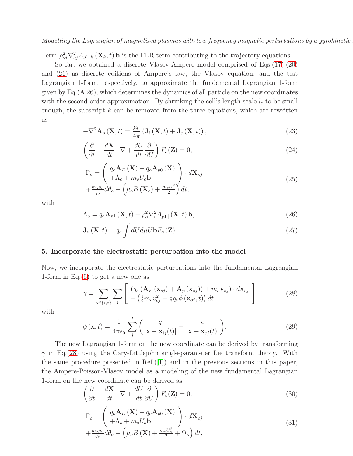Term  $\rho_{oj}^2 \nabla_{oj}^2 A_{p1||k} (\mathbf{X}_k, t)$  b is the FLR term contributing to the trajectory equations.

So far, we obtained a discrete Vlasov-Ampere model comprised of Eqs.[\(17\)](#page-5-2),[\(20\)](#page-5-3) and [\(21\)](#page-5-4) as discrete editions of Ampere's law, the Vlasov equation, and the test Lagrangian 1-form, respectively, to approximate the fundamental Lagrangian 1-form given by  $Eq. (A.26)$  $Eq. (A.26)$ , which determines the dynamics of all particle on the new coordinates with the second order approximation. By shrinking the cell's length scale  $l_c$  to be small enough, the subscript  $k$  can be removed from the three equations, which are rewritten as

$$
-\nabla^{2} \mathbf{A}_{p}(\mathbf{X},t) = \frac{\mu_{0}}{4\pi} \left( \mathbf{J}_{i}(\mathbf{X},t) + \mathbf{J}_{e}(\mathbf{X},t) \right), \qquad (23)
$$

$$
\left(\frac{\partial}{\partial t} + \frac{d\mathbf{X}}{dt} \cdot \nabla + \frac{dU}{dt} \frac{\partial}{\partial U}\right) F_o(\mathbf{Z}) = 0,
$$
\n(24)

$$
\Gamma_o = \left(\begin{array}{c} q_o \mathbf{A}_E(\mathbf{X}) + q_o \mathbf{A}_{p0}(\mathbf{X}) \\ + \Lambda_o + m_o U_o \mathbf{b} \end{array}\right) \cdot d\mathbf{X}_{oj} + \frac{m_o \mu_o}{q_o} d\theta_o - \left(\mu_o B(\mathbf{X}_o) + \frac{m_o U_o^2}{2}\right) dt,
$$
\n(25)

with

<span id="page-6-2"></span>
$$
\Lambda_o = q_o \mathbf{A}_{p1} \left( \mathbf{X}, t \right) + \rho_o^2 \nabla_o^2 A_{p1\parallel} \left( \mathbf{X}, t \right) \mathbf{b},\tag{26}
$$

<span id="page-6-3"></span>
$$
\mathbf{J}_{o}\left(\mathbf{X},t\right) = q_{o} \int dU d\mu U \mathbf{b} F_{o}\left(\mathbf{Z}\right). \tag{27}
$$

#### <span id="page-6-0"></span>5. Incorporate the electrostatic perturbation into the model

Now, we incorporate the electrostatic perturbations into the fundamental Lagrangian 1-form in Eq. $(5)$  to get a new one as

<span id="page-6-1"></span>
$$
\gamma = \sum_{o \in \{i,e\}} \sum_{j} \left[ \frac{\left(q_o \left(\mathbf{A}_E \left(\mathbf{x}_{oj}\right) + \mathbf{A}_p \left(\mathbf{x}_{oj}\right)\right) + m_o \mathbf{v}_{oj}\right) \cdot d\mathbf{x}_{oj}}{-\left(\frac{1}{2} m_o v_{oj}^2 + \frac{1}{2} q_o \phi \left(\mathbf{x}_{oj}, t\right)\right) dt} \right]
$$
(28)

with

$$
\phi(\mathbf{x},t) = \frac{1}{4\pi\epsilon_0} \sum_{j}^{\prime} \left( \frac{q}{|\mathbf{x} - \mathbf{x}_{ij}(t)|} - \frac{e}{|\mathbf{x} - \mathbf{x}_{ej}(t)|} \right).
$$
(29)

The new Lagrangian 1-form on the new coordinate can be derived by transforming  $\gamma$  in Eq.[\(28\)](#page-6-1) using the Cary-Littlejohn single-parameter Lie transform theory. With the same procedure presented in Ref.([\[1\]](#page-12-0)) and in the previous sections in this paper, the Ampere-Poisson-Vlasov model as a modeling of the new fundamental Lagrangian 1-form on the new coordinate can be derived as

<span id="page-6-4"></span>
$$
\left(\frac{\partial}{\partial t} + \frac{d\mathbf{X}}{dt} \cdot \nabla + \frac{dU}{dt} \frac{\partial}{\partial U}\right) F_o(\mathbf{Z}) = 0,
$$
\n(30)

<span id="page-6-5"></span>
$$
\Gamma_o = \begin{pmatrix} q_o \mathbf{A}_E (\mathbf{X}) + q_o \mathbf{A}_{p0} (\mathbf{X}) \\ + \Lambda_o + m_o U_o \mathbf{b} \end{pmatrix} \cdot d\mathbf{X}_{oj} + \frac{m_o \mu_o}{q_o} d\theta_o - \left(\mu_o B (\mathbf{X}) + \frac{m_o U_o^2}{2} + \Psi_o\right) dt,
$$
\n(31)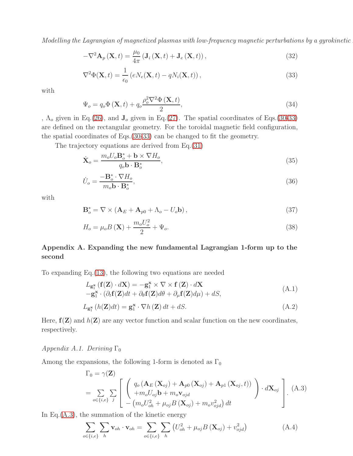$$
-\nabla^{2} \mathbf{A}_{p}(\mathbf{X},t) = \frac{\mu_{0}}{4\pi} \left( \mathbf{J}_{i}(\mathbf{X},t) + \mathbf{J}_{e}(\mathbf{X},t) \right), \tag{32}
$$

<span id="page-7-1"></span>
$$
\nabla^2 \Phi(\mathbf{X}, t) = \frac{1}{\epsilon_0} \left( e N_e(\mathbf{X}, t) - q N_i(\mathbf{X}, t) \right),\tag{33}
$$

with

$$
\Psi_o = q_o \Phi\left(\mathbf{X}, t\right) + q_o \frac{\rho_o^2 \nabla^2 \Phi\left(\mathbf{X}, t\right)}{2},\tag{34}
$$

,  $\Lambda_o$  given in Eq.[\(26\)](#page-6-2), and  $J_o$  given in Eq.[\(27\)](#page-6-3). The spatial coordinates of Eqs.[\(30-](#page-6-4)[33\)](#page-7-1) are defined on the rectangular geometry. For the toroidal magnetic field configuration, the spatial coordinates of Eqs.[\(30-](#page-6-4)[33\)](#page-7-1) can be changed to fit the geometry.

The trajectory equations are derived from Eq.[\(31\)](#page-6-5)

$$
\dot{\mathbf{X}}_o = \frac{m_o U_o \mathbf{B}_o^* + \mathbf{b} \times \nabla H_o}{q_o \mathbf{b} \cdot \mathbf{B}_o^*},\tag{35}
$$

$$
\dot{U}_o = \frac{-\mathbf{B}_o^* \cdot \nabla H_o}{m_o \mathbf{b} \cdot \mathbf{B}_o^*},\tag{36}
$$

with

$$
\mathbf{B}_o^* = \nabla \times (\mathbf{A}_E + \mathbf{A}_{p0} + \Lambda_o - U_o \mathbf{b}), \qquad (37)
$$

$$
H_o = \mu_o B\left(\mathbf{X}\right) + \frac{m_o U_o^2}{2} + \Psi_o. \tag{38}
$$

# <span id="page-7-0"></span>Appendix A. Expanding the new fundamental Lagrangian 1-form up to the second

To expanding Eq.[\(13\)](#page-4-1), the following two equations are needed

$$
L_{\mathbf{g}_{1}^{*}}(\mathbf{f}(\mathbf{Z}) \cdot d\mathbf{X}) = -\mathbf{g}_{1}^{*} \times \nabla \times \mathbf{f}(\mathbf{Z}) \cdot d\mathbf{X}
$$
  
\n
$$
-\mathbf{g}_{1}^{*} \cdot (\partial_{t} \mathbf{f}(\mathbf{Z}) dt + \partial_{\theta} \mathbf{f}(\mathbf{Z}) d\theta + \partial_{\mu} \mathbf{f}(\mathbf{Z}) d\mu) + dS,
$$
\n(A.1)

$$
L_{\mathbf{g}_1^{\mathbf{x}}}\left(h(\mathbf{Z})dt\right) = \mathbf{g}_1^{\mathbf{x}} \cdot \nabla h\left(\mathbf{Z}\right)dt + dS.
$$
\n(A.2)

Here,  $f(Z)$  and  $h(Z)$  are any vector function and scalar function on the new coordinates, respectively.

## Appendix A.1. Deriving  $\Gamma_0$

Among the expansions, the following 1-form is denoted as  $\Gamma_0$ 

<span id="page-7-2"></span>
$$
\Gamma_0 = \gamma(\mathbf{Z})
$$
\n
$$
= \sum_{o \in \{i,e\}} \sum_{j} \left[ \begin{array}{c} q_o \left( \mathbf{A}_E \left( \mathbf{X}_{oj} \right) + \mathbf{A}_{p0} \left( \mathbf{X}_{oj} \right) + \mathbf{A}_{p1} \left( \mathbf{X}_{oj}, t \right) \right) \\ + m_o U_{oj} \mathbf{b} + m_o V_{ojd} \\ - \left( m_o U_{oh}^2 + \mu_{oj} B \left( \mathbf{X}_{oj} \right) + m_o v_{ojd}^2 \right) dt \end{array} \right) \cdot d\mathbf{X}_{oj} \right].
$$
\n(A.3)

In Eq. $(A.3)$ , the summation of the kinetic energy

$$
\sum_{o \in \{i,e\}} \sum_{h} \mathbf{v}_{oh} \cdot \mathbf{v}_{oh} = \sum_{o \in \{i,e\}} \sum_{h} \left( U_{oh}^2 + \mu_{oj} B \left( \mathbf{X}_{oj} \right) + v_{ojd}^2 \right) \tag{A.4}
$$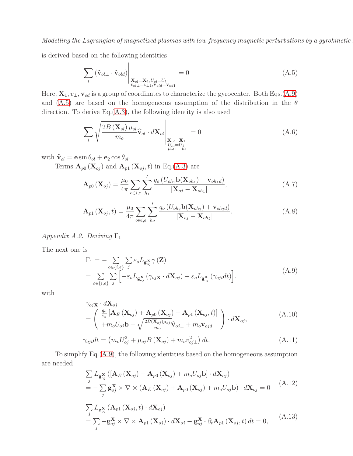is derived based on the following identities

<span id="page-8-3"></span>
$$
\sum_{l} \left( \hat{\mathbf{v}}_{ol\perp} \cdot \hat{\mathbf{v}}_{old} \right) \Big|_{\substack{\mathbf{X}_{ol} = \mathbf{X}_1, U_{ol} = U_1 \\ v_{ol\perp} = v_{\perp 1}, \mathbf{v}_{old} = \mathbf{v}_{od1}}} = 0 \tag{A.5}
$$

Here,  $\mathbf{X}_1, v_\perp, \mathbf{v}_{od}$  is a group of coordinates to characterize the gyrocenter. Both Eqs.[\(A.9\)](#page-8-2) and [\(A.5\)](#page-8-3) are based on the homogeneous assumption of the distribution in the  $\theta$ direction. To derive Eq.[\(A.3\)](#page-7-2), the following identity is also used

$$
\sum_{l} \sqrt{\frac{2B\left(\mathbf{X}_{ol}\right)\mu_{ol}}{m_o}} \widehat{\mathbf{v}}_{ol} \cdot d\mathbf{X}_{ol} \Bigg|_{\substack{\mathbf{X}_{ol} = \mathbf{X}_{1} \\ U_{ol} = U_{1} \\ \mu_{ol} = \mu_{1}}} = 0 \tag{A.6}
$$

with  $\hat{\mathbf{v}}_{ol} = \mathbf{e} \sin \theta_{ol} + \mathbf{e}_2 \cos \theta_{ol}$ .

Terms  $\mathbf{A}_{p0}(\mathbf{X}_{oj})$  and  $\mathbf{A}_{p1}(\mathbf{X}_{oj},t)$  in Eq.[\(A.3\)](#page-7-2) are

<span id="page-8-0"></span>
$$
\mathbf{A}_{p0}\left(\mathbf{X}_{oj}\right) = \frac{\mu_0}{4\pi} \sum_{o \in i,e} \sum_{h_1}^{'} \frac{q_o\left(U_{oh_1}\mathbf{b}(\mathbf{X}_{oh_1}) + \mathbf{v}_{oh_1d}\right)}{|\mathbf{X}_{oj} - \mathbf{X}_{oh_1}|},\tag{A.7}
$$

<span id="page-8-1"></span>
$$
\mathbf{A}_{p1}(\mathbf{X}_{oj},t) = \frac{\mu_0}{4\pi} \sum_{o \in i,e} \sum_{h_2}^{\prime} \frac{q_o(U_{oh_2} \mathbf{b}(\mathbf{X}_{oh_2}) + \mathbf{v}_{oh_2d})}{|\mathbf{X}_{oj} - \mathbf{X}_{oh_2}|}.
$$
(A.8)

Appendix A.2. Deriving  $\Gamma_1$ 

The next one is

<span id="page-8-2"></span>
$$
\Gamma_{1} = -\sum_{o \in \{i,e\}} \sum_{j} \varepsilon_{o} L_{\mathbf{g}_{oj}^{X}} \gamma(\mathbf{Z})
$$
\n
$$
= \sum_{o \in \{i,e\}} \sum_{j} \left[ -\varepsilon_{o} L_{\mathbf{g}_{oj}^{X}} (\gamma_{oj} \mathbf{x} \cdot d\mathbf{X}_{oj}) + \varepsilon_{o} L_{\mathbf{g}_{oj}^{X}} (\gamma_{ojt} dt) \right].
$$
\n(A.9)

with

$$
\gamma_{oj}\mathbf{x} \cdot d\mathbf{X}_{oj} \n= \begin{pmatrix} \frac{q_o}{\varepsilon_o} \left[ \mathbf{A}_E \left( \mathbf{X}_{oj} \right) + \mathbf{A}_{p0} \left( \mathbf{X}_{oj} \right) + \mathbf{A}_{p1} \left( \mathbf{X}_{oj}, t \right) \right] \\ + m_o U_{oj} \mathbf{b} + \sqrt{\frac{2B(\mathbf{X}_{oj})\mu_{oj}}{m_o}} \hat{\mathbf{v}}_{oj\perp} + m_o \mathbf{v}_{ojd} \end{pmatrix} \cdot d\mathbf{X}_{oj},
$$
\n(A.10)

$$
\gamma_{ojt}dt = \left(m_o U_{oj}^2 + \mu_{oj} B\left(\mathbf{X}_{oj}\right) + m_o v_{oj\perp}^2\right) dt. \tag{A.11}
$$

To simplify Eq.[\(A.9\)](#page-8-2), the following identities based on the homogeneous assumption are needed

$$
\sum_{j} L_{\mathbf{g}_{oj}^{X}} \left( \left[ \mathbf{A}_{E} \left( \mathbf{X}_{oj} \right) + \mathbf{A}_{p0} \left( \mathbf{X}_{oj} \right) + m_{o} U_{oj} \mathbf{b} \right] \cdot d\mathbf{X}_{oj} \right)
$$
\n
$$
= - \sum_{j} \mathbf{g}_{oj}^{X} \times \nabla \times \left( \mathbf{A}_{E} \left( \mathbf{X}_{oj} \right) + \mathbf{A}_{p0} \left( \mathbf{X}_{oj} \right) + m_{o} U_{oj} \mathbf{b} \right) \cdot d\mathbf{X}_{oj} = 0 \tag{A.12}
$$

$$
\sum_{j} L_{g_{oj}} (\mathbf{A}_{p1} (\mathbf{X}_{oj}, t) \cdot d\mathbf{X}_{oj})
$$
\n
$$
= \sum_{j} -g_{oj}^{X} \times \nabla \times \mathbf{A}_{p1} (\mathbf{X}_{oj}) \cdot d\mathbf{X}_{oj} - g_{oj}^{X} \cdot \partial_t \mathbf{A}_{p1} (\mathbf{X}_{oj}, t) dt = 0,
$$
\n(A.13)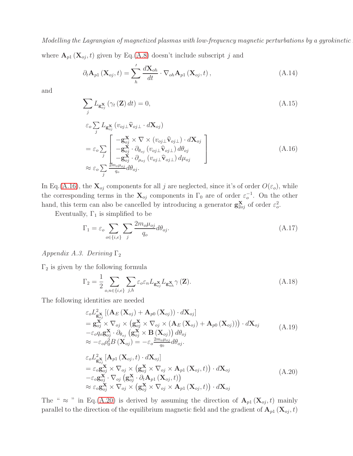where  $\mathbf{A}_{p1}(\mathbf{X}_{oj}, t)$  given by Eq.[\(A.8\)](#page-8-1) doesn't include subscript j and

$$
\partial_t \mathbf{A}_{p1}(\mathbf{X}_{oj}, t) = \sum_{h} \frac{d\mathbf{X}_{oh}}{dt} \cdot \nabla_{oh} \mathbf{A}_{p1}(\mathbf{X}_{oj}, t), \qquad (A.14)
$$

and

$$
\sum_{j} L_{\mathbf{g}_{oj}^{\mathbf{X}}} \left( \gamma_t \left( \mathbf{Z} \right) dt \right) = 0, \tag{A.15}
$$

<span id="page-9-0"></span>
$$
\varepsilon_o \sum_j L_{\mathbf{g}_{oj}^{\mathbf{X}}} (v_{oj\perp} \hat{\mathbf{v}}_{oj\perp} \cdot d\mathbf{X}_{oj})
$$
\n
$$
= \varepsilon_o \sum_j \begin{bmatrix}\n-\mathbf{g}_{oj}^{\mathbf{X}} \times \nabla \times (v_{oj\perp} \hat{\mathbf{v}}_{oj\perp}) \cdot d\mathbf{X}_{oj} \\
-\mathbf{g}_{oj}^{\mathbf{X}} \cdot \partial_{\theta_{oj}} (v_{oj\perp} \hat{\mathbf{v}}_{oj\perp}) d\theta_{oj} \\
-\mathbf{g}_{oj}^{\mathbf{X}} \cdot \partial_{\mu_{oj}} (v_{oj\perp} \hat{\mathbf{v}}_{oj\perp}) d\mu_{oj} \\
-\mathbf{g}_{oj}^{\mathbf{X}} \cdot \partial_{\mu_{oj}} (v_{oj\perp} \hat{\mathbf{v}}_{oj\perp}) d\mu_{oj}\n\end{bmatrix} \tag{A.16}
$$

In Eq.[\(A.16\)](#page-9-0), the  $\mathbf{X}_{oj}$  components for all j are neglected, since it's of order  $O(\varepsilon_o)$ , while the corresponding terms in the  $\mathbf{X}_{oj}$  components in  $\Gamma_0$  are of order  $\varepsilon_o^{-1}$ . On the other hand, this term can also be cancelled by introducing a generator  $\mathbf{g}_{2oj}^{\mathbf{X}}$  of order  $\varepsilon_o^2$ .

Eventually,  $\Gamma_1$  is simplified to be

<span id="page-9-3"></span>
$$
\Gamma_1 = \varepsilon_o \sum_{o \in \{i,e\}} \sum_j \frac{2m_o \mu_{oj}}{q_o} d\theta_{oj}.
$$
\n(A.17)

## Appendix A.3. Deriving  $\Gamma_2$

 $\Gamma_2$  is given by the following formula

<span id="page-9-2"></span>
$$
\Gamma_2 = \frac{1}{2} \sum_{o,n \in \{i,e\}} \sum_{j,h} \varepsilon_o \varepsilon_n L_{\mathbf{g}_{oj}^{\mathbf{X}}} L_{\mathbf{g}_{nh}^{\mathbf{X}}} \gamma(\mathbf{Z}).
$$
\n(A.18)

The following identities are needed

$$
\varepsilon_o L_{\mathbf{g}_{oj}}^2 \left[ (\mathbf{A}_E (\mathbf{X}_{oj}) + \mathbf{A}_{p0} (\mathbf{X}_{oj}) ) \cdot d\mathbf{X}_{oj} \right]
$$
\n
$$
= \mathbf{g}_{oj}^{\mathbf{X}} \times \nabla_{oj} \times (\mathbf{g}_{oj}^{\mathbf{X}} \times \nabla_{oj} \times (\mathbf{A}_E (\mathbf{X}_{oj}) + \mathbf{A}_{p0} (\mathbf{X}_{oj}) ) ) \cdot d\mathbf{X}_{oj}
$$
\n
$$
- \varepsilon_o q_o \mathbf{g}_{oj}^{\mathbf{X}} \cdot \partial_{\theta_{oj}} (\mathbf{g}_{oj}^{\mathbf{X}} \times \mathbf{B} (\mathbf{X}_{oj}) ) d\theta_{oj}
$$
\n
$$
\approx - \varepsilon_o \rho_0^2 B (\mathbf{X}_{oj}) = - \varepsilon_o \frac{2m_o \mu_{oj}}{q_0} d\theta_{oj}.
$$
\n
$$
\varepsilon_o L_{\mathbf{g}_{oj}^{\mathbf{X}}}^2 [\mathbf{A}_{p1} (\mathbf{X}_{oj}, t) \cdot d\mathbf{X}_{oj}]
$$
\n
$$
= \varepsilon_o \mathbf{g}_{oj}^{\mathbf{X}} \times \nabla_{oj} \times (\mathbf{g}_{oj}^{\mathbf{X}} \times \nabla_{oj} \times \mathbf{A}_{p1} (\mathbf{X}_{oj}, t) ) \cdot d\mathbf{X}_{oj}
$$
\n
$$
- \varepsilon_o \mathbf{g}_{oj}^{\mathbf{X}} \cdot \nabla_{oj} (\mathbf{g}_{oj}^{\mathbf{X}} \cdot \partial_t \mathbf{A}_{p1} (\mathbf{X}_{oj}, t))
$$
\n
$$
\approx \varepsilon_o \mathbf{g}_{oj}^{\mathbf{X}} \times \nabla_{oj} \times (\mathbf{g}_{oj}^{\mathbf{X}} \times \nabla_{oj} \times \mathbf{A}_{p1} (\mathbf{X}_{oj}, t) ) \cdot d\mathbf{X}_{oj}
$$
\n(A.20)

<span id="page-9-1"></span>The "  $\approx$  " in Eq.[\(A.20\)](#page-9-1) is derived by assuming the direction of  $\mathbf{A}_{p1}(\mathbf{X}_{oj},t)$  mainly parallel to the direction of the equilibrium magnetic field and the gradient of  $A_{p1}$  ( $X_{oj}, t$ )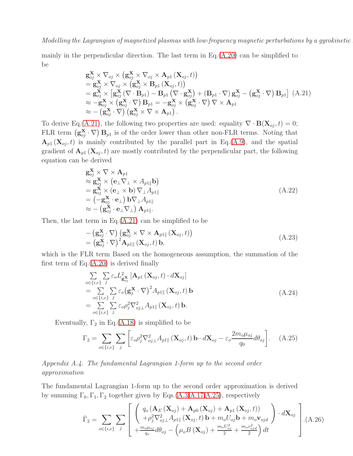mainly in the perpendicular direction. The last term in  $Eq.(A.20)$  $Eq.(A.20)$  can be simplified to be

<span id="page-10-1"></span>
$$
\mathbf{g}_{oj}^{\mathbf{X}} \times \nabla_{oj} \times (\mathbf{g}_{oj}^{\mathbf{X}} \times \nabla_{oj} \times \mathbf{A}_{p1} (\mathbf{X}_{oj}, t)) \n= \mathbf{g}_{oj}^{\mathbf{X}} \times \nabla_{oj} \times (\mathbf{g}_{oj}^{\mathbf{X}} \times \mathbf{B}_{p1} (\mathbf{X}_{oj}, t)) \n= \mathbf{g}_{oj}^{\mathbf{X}} \times [\mathbf{g}_{oj}^{\mathbf{X}} (\nabla \cdot \mathbf{B}_{p1}) - \mathbf{B}_{p1} (\nabla \cdot \mathbf{g}_{oj}^{\mathbf{X}}) + (\mathbf{B}_{p1} \cdot \nabla) \mathbf{g}_{oj}^{\mathbf{X}} - (\mathbf{g}_{oj}^{\mathbf{X}} \cdot \nabla) \mathbf{B}_{p1}] (A.21) \n\approx -\mathbf{g}_{oj}^{\mathbf{X}} \times (\mathbf{g}_{oj}^{\mathbf{X}} \cdot \nabla) \mathbf{B}_{p1} = -\mathbf{g}_{oj}^{\mathbf{X}} \times (\mathbf{g}_{oj}^{\mathbf{X}} \cdot \nabla) \nabla \times \mathbf{A}_{p1} \n\approx -(\mathbf{g}_{oj}^{\mathbf{X}} \cdot \nabla) (\mathbf{g}_{oj}^{\mathbf{X}} \times \nabla \times \mathbf{A}_{p1}).
$$

To derive Eq.[\(A.21\)](#page-10-1), the following two properties are used: equality  $\nabla \cdot \mathbf{B}(\mathbf{X}_{oj}, t) = 0;$ FLR term  $(g_{oj}^{\mathbf{X}} \cdot \nabla)$   $B_{p1}$  is of the order lower than other non-FLR terms. Noting that  $\mathbf{A}_{p1}(\mathbf{X}_{oj},t)$  is mainly contributed by the parallel part in Eq.[\(A.9\)](#page-8-2), and the spatial gradient of  $\mathbf{A}_{p1}(\mathbf{X}_{oj},t)$  are mostly contributed by the perpendicular part, the following equation can be derived

$$
\mathbf{g}_{oj}^{\mathbf{X}} \times \nabla \times \mathbf{A}_{p1} \n\approx \mathbf{g}_{oj}^{\mathbf{X}} \times (\mathbf{e}_{\perp} \nabla_{\perp} \times A_{p1\parallel} \mathbf{b}) \n= \mathbf{g}_{oj}^{\mathbf{X}} \times (\mathbf{e}_{\perp} \times \mathbf{b}) \nabla_{\perp} A_{p1\parallel} \n= (-\mathbf{g}_{oj}^{\mathbf{X}} \cdot \mathbf{e}_{\perp}) \mathbf{b} \nabla_{\perp} A_{p1\parallel} \n\approx - (\mathbf{g}_{oj}^{\mathbf{X}} \cdot \mathbf{e}_{\perp} \nabla_{\perp}) \mathbf{A}_{p1\parallel}.
$$
\n(A.22)

Then, the last term in  $Eq.(A.21)$  $Eq.(A.21)$  can be simplified to be

$$
- \left( \mathbf{g}_{oj}^{\mathbf{X}} \cdot \nabla \right) \left( \mathbf{g}_{oj}^{\mathbf{X}} \times \nabla \times \mathbf{A}_{p1\parallel} (\mathbf{X}_{oj}, t) \right) = \left( \mathbf{g}_{oj}^{\mathbf{X}} \cdot \nabla \right)^2 \mathbf{A}_{p1\parallel} (\mathbf{X}_{oj}, t) \mathbf{b},
$$
\n(A.23)

which is the FLR term Based on the homogeneous assumption, the summation of the first term of  $Eq.(A.20)$  $Eq.(A.20)$  is derived finally

$$
\sum_{o \in \{i,e\}} \sum_{j} \varepsilon_o L_{\mathbf{g}_{oj}}^2 [\mathbf{A}_{p1} (\mathbf{X}_{oj}, t) \cdot d\mathbf{X}_{oj}]
$$
\n
$$
= \sum_{o \in \{i,e\}} \sum_{j} \varepsilon_o (\mathbf{g}_{j}^{\mathbf{X}} \cdot \nabla)^2 A_{p1\parallel} (\mathbf{X}_{oj}, t) \mathbf{b}
$$
\n
$$
= \sum_{o \in \{i,e\}} \sum_{j} \varepsilon_o \rho_j^2 \nabla_{oj\perp}^2 A_{p1\parallel} (\mathbf{X}_{oj}, t) \mathbf{b}.
$$
\n(A.24)

Eventually,  $\Gamma_2$  in Eq.[\(A.18\)](#page-9-2) is simplified to be

<span id="page-10-2"></span>
$$
\Gamma_2 = \sum_{o \in \{i,e\}} \sum_j \left[ \varepsilon_o \rho_j^2 \nabla_{oj\perp}^2 A_{p1\parallel} (\mathbf{X}_{oj}, t) \mathbf{b} \cdot d\mathbf{X}_{oj} - \varepsilon_o \frac{2m_o \mu_{oj}}{q_0} d\theta_{oj} \right].
$$
 (A.25)

Appendix A.4. The fundamental Lagrangian 1-form up to the second order approximation

The fundamental Lagrangian 1-form up to the second order approximation is derived by summing  $\Gamma_0, \Gamma_1, \Gamma_2$  together given by Eqs.[\(A.3](#page-7-2)[,A.17](#page-9-3)[,A.25\)](#page-10-2), respectively

<span id="page-10-0"></span>
$$
\bar{\Gamma}_2 = \sum_{o \in \{i,e\}} \sum_j \left[ \begin{array}{c} \left( q_o \left( \mathbf{A}_E \left( \mathbf{X}_{oj} \right) + \mathbf{A}_{p0} \left( \mathbf{X}_{oj} \right) + \mathbf{A}_{p1} \left( \mathbf{X}_{oj}, t \right) \right) \\ + \rho_j^2 \nabla_{oj\perp}^2 A_{p1\parallel} \left( \mathbf{X}_{oj}, t \right) \mathbf{b} + m_o U_{oj} \mathbf{b} + m_o \mathbf{v}_{ojd} \\ + \frac{m_o \mu_{oj}}{q_o} d\theta_{oj} - \left( \mu_o B \left( \mathbf{X}_{oj} \right) + \frac{m_o U_{oj}^2}{2} + \frac{m_o v_{ojd}^2}{2} \right) dt \end{array} \right) \cdot d\mathbf{X}_{oj} \right] \tag{A.26}
$$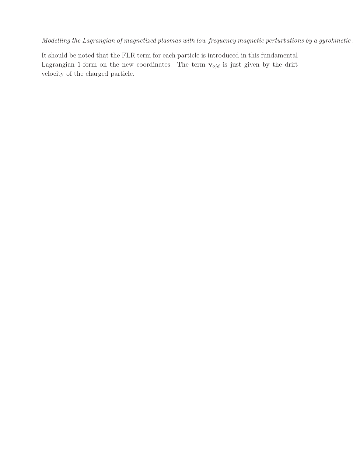It should be noted that the FLR term for each particle is introduced in this fundamental Lagrangian 1-form on the new coordinates. The term  $\mathbf{v}_{ojd}$  is just given by the drift velocity of the charged particle.